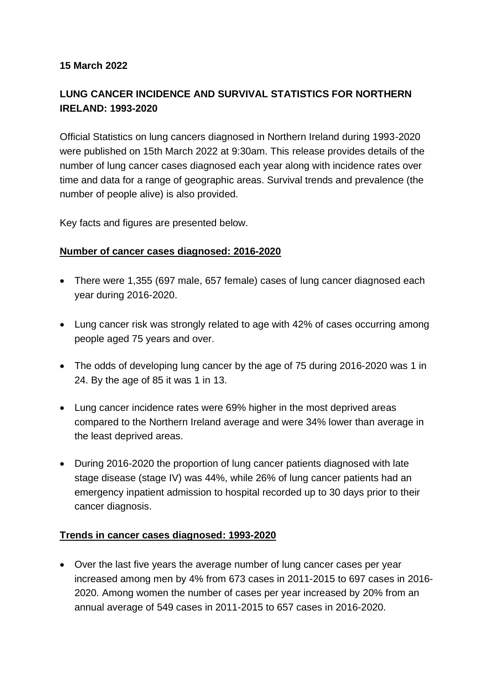### **15 March 2022**

# **LUNG CANCER INCIDENCE AND SURVIVAL STATISTICS FOR NORTHERN IRELAND: 1993-2020**

Official Statistics on lung cancers diagnosed in Northern Ireland during 1993-2020 were published on 15th March 2022 at 9:30am. This release provides details of the number of lung cancer cases diagnosed each year along with incidence rates over time and data for a range of geographic areas. Survival trends and prevalence (the number of people alive) is also provided.

Key facts and figures are presented below.

### **Number of cancer cases diagnosed: 2016-2020**

- There were 1,355 (697 male, 657 female) cases of lung cancer diagnosed each year during 2016-2020.
- Lung cancer risk was strongly related to age with 42% of cases occurring among people aged 75 years and over.
- The odds of developing lung cancer by the age of 75 during 2016-2020 was 1 in 24. By the age of 85 it was 1 in 13.
- Lung cancer incidence rates were 69% higher in the most deprived areas compared to the Northern Ireland average and were 34% lower than average in the least deprived areas.
- During 2016-2020 the proportion of lung cancer patients diagnosed with late stage disease (stage IV) was 44%, while 26% of lung cancer patients had an emergency inpatient admission to hospital recorded up to 30 days prior to their cancer diagnosis.

### **Trends in cancer cases diagnosed: 1993-2020**

• Over the last five years the average number of lung cancer cases per year increased among men by 4% from 673 cases in 2011-2015 to 697 cases in 2016- 2020. Among women the number of cases per year increased by 20% from an annual average of 549 cases in 2011-2015 to 657 cases in 2016-2020.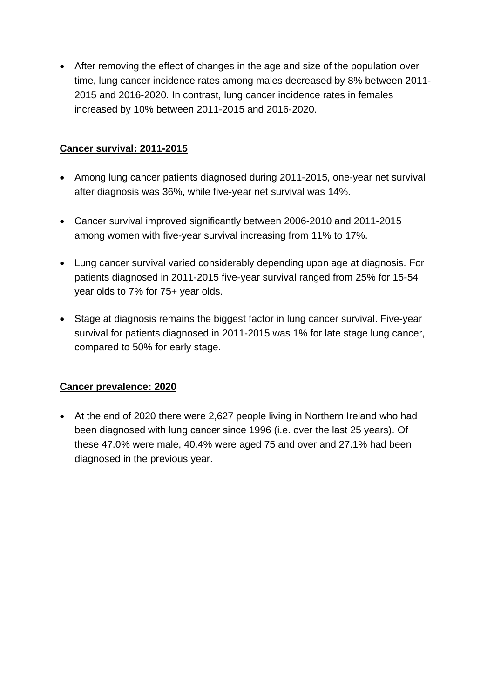• After removing the effect of changes in the age and size of the population over time, lung cancer incidence rates among males decreased by 8% between 2011- 2015 and 2016-2020. In contrast, lung cancer incidence rates in females increased by 10% between 2011-2015 and 2016-2020.

## **Cancer survival: 2011-2015**

- Among lung cancer patients diagnosed during 2011-2015, one-year net survival after diagnosis was 36%, while five-year net survival was 14%.
- Cancer survival improved significantly between 2006-2010 and 2011-2015 among women with five-year survival increasing from 11% to 17%.
- Lung cancer survival varied considerably depending upon age at diagnosis. For patients diagnosed in 2011-2015 five-year survival ranged from 25% for 15-54 year olds to 7% for 75+ year olds.
- Stage at diagnosis remains the biggest factor in lung cancer survival. Five-year survival for patients diagnosed in 2011-2015 was 1% for late stage lung cancer, compared to 50% for early stage.

## **Cancer prevalence: 2020**

• At the end of 2020 there were 2,627 people living in Northern Ireland who had been diagnosed with lung cancer since 1996 (i.e. over the last 25 years). Of these 47.0% were male, 40.4% were aged 75 and over and 27.1% had been diagnosed in the previous year.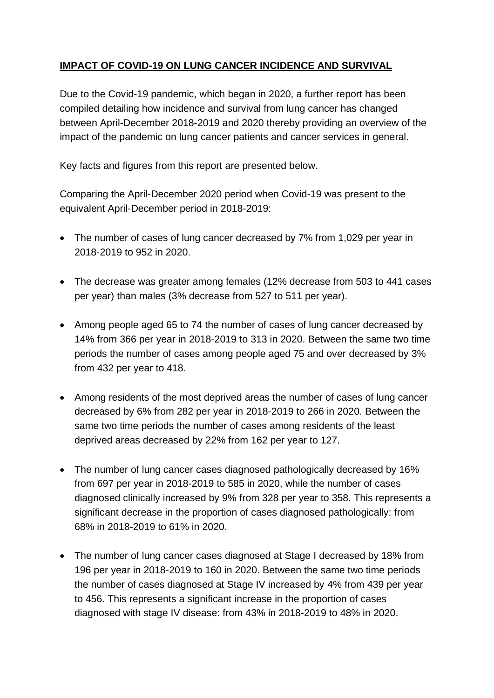# **IMPACT OF COVID-19 ON LUNG CANCER INCIDENCE AND SURVIVAL**

Due to the Covid-19 pandemic, which began in 2020, a further report has been compiled detailing how incidence and survival from lung cancer has changed between April-December 2018-2019 and 2020 thereby providing an overview of the impact of the pandemic on lung cancer patients and cancer services in general.

Key facts and figures from this report are presented below.

Comparing the April-December 2020 period when Covid-19 was present to the equivalent April-December period in 2018-2019:

- The number of cases of lung cancer decreased by 7% from 1,029 per year in 2018-2019 to 952 in 2020.
- The decrease was greater among females (12% decrease from 503 to 441 cases per year) than males (3% decrease from 527 to 511 per year).
- Among people aged 65 to 74 the number of cases of lung cancer decreased by 14% from 366 per year in 2018-2019 to 313 in 2020. Between the same two time periods the number of cases among people aged 75 and over decreased by 3% from 432 per year to 418.
- Among residents of the most deprived areas the number of cases of lung cancer decreased by 6% from 282 per year in 2018-2019 to 266 in 2020. Between the same two time periods the number of cases among residents of the least deprived areas decreased by 22% from 162 per year to 127.
- The number of lung cancer cases diagnosed pathologically decreased by 16% from 697 per year in 2018-2019 to 585 in 2020, while the number of cases diagnosed clinically increased by 9% from 328 per year to 358. This represents a significant decrease in the proportion of cases diagnosed pathologically: from 68% in 2018-2019 to 61% in 2020.
- The number of lung cancer cases diagnosed at Stage I decreased by 18% from 196 per year in 2018-2019 to 160 in 2020. Between the same two time periods the number of cases diagnosed at Stage IV increased by 4% from 439 per year to 456. This represents a significant increase in the proportion of cases diagnosed with stage IV disease: from 43% in 2018-2019 to 48% in 2020.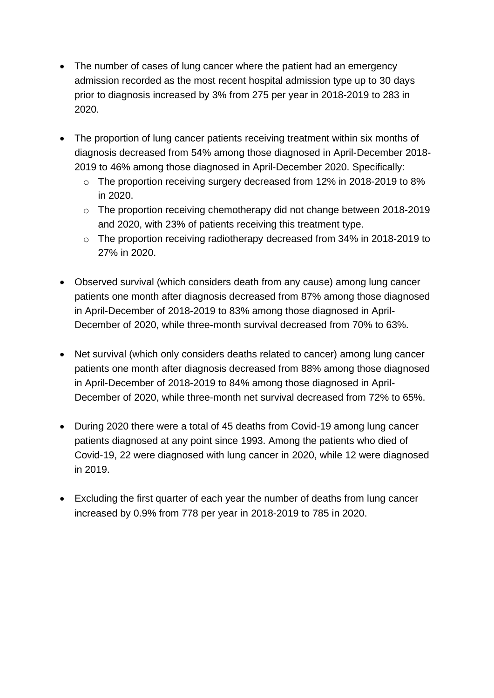- The number of cases of lung cancer where the patient had an emergency admission recorded as the most recent hospital admission type up to 30 days prior to diagnosis increased by 3% from 275 per year in 2018-2019 to 283 in 2020.
- The proportion of lung cancer patients receiving treatment within six months of diagnosis decreased from 54% among those diagnosed in April-December 2018- 2019 to 46% among those diagnosed in April-December 2020. Specifically:
	- o The proportion receiving surgery decreased from 12% in 2018-2019 to 8% in 2020.
	- o The proportion receiving chemotherapy did not change between 2018-2019 and 2020, with 23% of patients receiving this treatment type.
	- o The proportion receiving radiotherapy decreased from 34% in 2018-2019 to 27% in 2020.
- Observed survival (which considers death from any cause) among lung cancer patients one month after diagnosis decreased from 87% among those diagnosed in April-December of 2018-2019 to 83% among those diagnosed in April-December of 2020, while three-month survival decreased from 70% to 63%.
- Net survival (which only considers deaths related to cancer) among lung cancer patients one month after diagnosis decreased from 88% among those diagnosed in April-December of 2018-2019 to 84% among those diagnosed in April-December of 2020, while three-month net survival decreased from 72% to 65%.
- During 2020 there were a total of 45 deaths from Covid-19 among lung cancer patients diagnosed at any point since 1993. Among the patients who died of Covid-19, 22 were diagnosed with lung cancer in 2020, while 12 were diagnosed in 2019.
- Excluding the first quarter of each year the number of deaths from lung cancer increased by 0.9% from 778 per year in 2018-2019 to 785 in 2020.